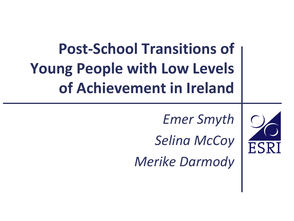**Post-School Transitions of Young People with Low Levels of Achievement in Ireland**

*Emer Smyth* 

*Selina McCoy Merike Darmody*

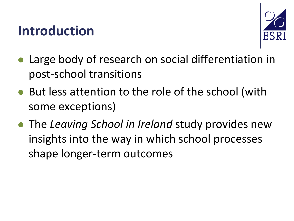#### **Introduction**



- Large body of research on social differentiation in post-school transitions
- But less attention to the role of the school (with some exceptions)
- The *Leaving School in Ireland* study provides new insights into the way in which school processes shape longer-term outcomes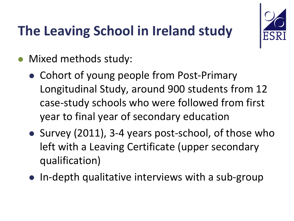#### **The Leaving School in Ireland study**



- Mixed methods study:
	- Cohort of young people from Post-Primary Longitudinal Study, around 900 students from 12 case-study schools who were followed from first year to final year of secondary education
	- Survey (2011), 3-4 years post-school, of those who left with a Leaving Certificate (upper secondary qualification)
	- In-depth qualitative interviews with a sub-group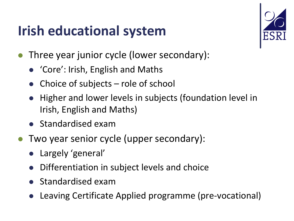#### **Irish educational system**



- Three year junior cycle (lower secondary):
	- 'Core': Irish, English and Maths
	- Choice of subjects role of school
	- Higher and lower levels in subjects (foundation level in Irish, English and Maths)
	- **Standardised exam**
- Two year senior cycle (upper secondary):
	- Largely 'general'
	- Differentiation in subject levels and choice
	- Standardised exam
	- Leaving Certificate Applied programme (pre-vocational)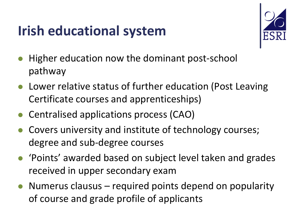#### **Irish educational system**



- Higher education now the dominant post-school pathway
- Lower relative status of further education (Post Leaving Certificate courses and apprenticeships)
- Centralised applications process (CAO)
- Covers university and institute of technology courses; degree and sub-degree courses
- 'Points' awarded based on subject level taken and grades received in upper secondary exam
- Numerus clausus required points depend on popularity of course and grade profile of applicants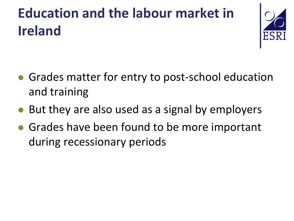# **Education and the labour market in Ireland**



- Grades matter for entry to post-school education and training
- But they are also used as a signal by employers
- **Grades have been found to be more important** during recessionary periods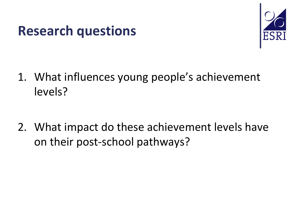#### **Research questions**



- 1. What influences young people's achievement levels?
- 2. What impact do these achievement levels have on their post-school pathways?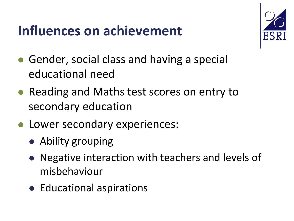#### **Influences on achievement**



- Gender, social class and having a special educational need
- Reading and Maths test scores on entry to secondary education
- **Lower secondary experiences:** 
	- Ability grouping
	- Negative interaction with teachers and levels of misbehaviour
	- Educational aspirations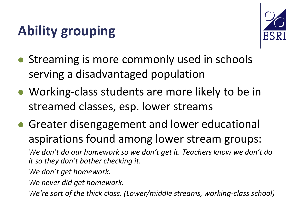### **Ability grouping**



- Streaming is more commonly used in schools serving a disadvantaged population
- Working-class students are more likely to be in streamed classes, esp. lower streams
- Greater disengagement and lower educational aspirations found among lower stream groups: *We don't do our homework so we don't get it. Teachers know we don't do it so they don't bother checking it.*
	- *We don't get homework.*
	- *We never did get homework.*
	- *We're sort of the thick class. (Lower/middle streams, working-class school)*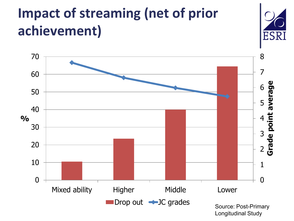# **Impact of streaming (net of prior achievement)**

**%**



Longitudinal Study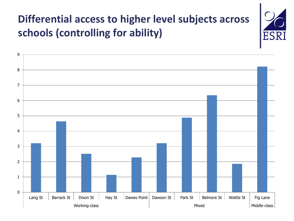#### **Differential access to higher level subjects across schools (controlling for ability)**

ES)

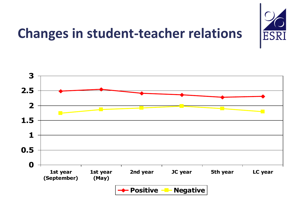

#### **Changes in student-teacher relations**

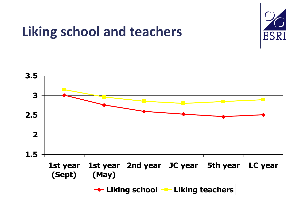

#### **Liking school and teachers**

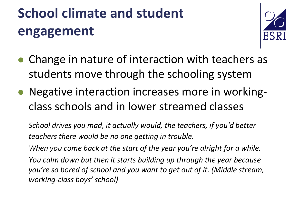# **School climate and student engagement**



- Change in nature of interaction with teachers as students move through the schooling system
- Negative interaction increases more in workingclass schools and in lower streamed classes

*School drives you mad, it actually would, the teachers, if you'd better teachers there would be no one getting in trouble.*

*When you come back at the start of the year you're alright for a while. You calm down but then it starts building up through the year because you're so bored of school and you want to get out of it. (Middle stream, working-class boys' school)*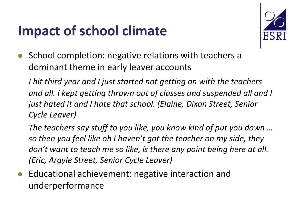#### **Impact of school climate**



 School completion: negative relations with teachers a dominant theme in early leaver accounts

*I hit third year and I just started not getting on with the teachers and all. I kept getting thrown out of classes and suspended all and I just hated it and I hate that school. (Elaine, Dixon Street, Senior Cycle Leaver)*

*The teachers say stuff to you like, you know kind of put you down … so then you feel like oh I haven't got the teacher on my side, they don't want to teach me so like, is there any point being here at all. (Eric, Argyle Street, Senior Cycle Leaver)*

 Educational achievement: negative interaction and underperformance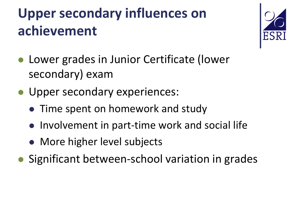# **Upper secondary influences on achievement**



- Lower grades in Junior Certificate (lower secondary) exam
- **Upper secondary experiences:** 
	- Time spent on homework and study
	- Involvement in part-time work and social life
	- More higher level subjects
- Significant between-school variation in grades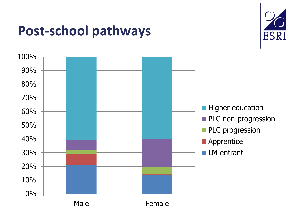#### **Post-school pathways**



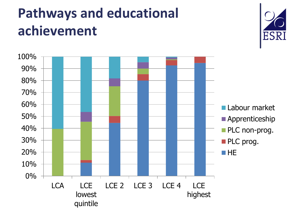# **Pathways and educational achievement**



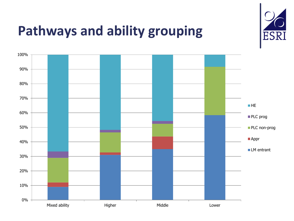

#### **Pathways and ability grouping**

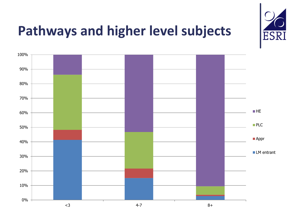

#### **Pathways and higher level subjects**

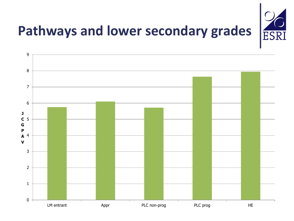

# **Pathways and lower secondary grades**

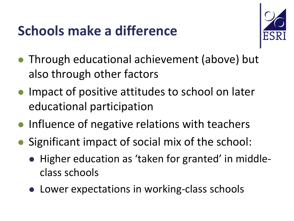### **Schools make a difference**



- Through educational achievement (above) but also through other factors
- **Impact of positive attitudes to school on later** educational participation
- Influence of negative relations with teachers
- Significant impact of social mix of the school:
	- Higher education as 'taken for granted' in middleclass schools
	- Lower expectations in working-class schools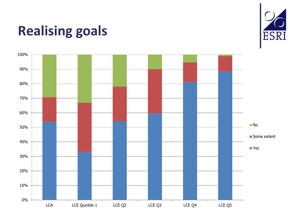#### **Realising goals**



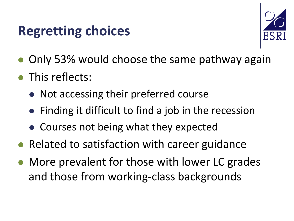#### **Regretting choices**



- Only 53% would choose the same pathway again
- This reflects:
	- Not accessing their preferred course
	- Finding it difficult to find a job in the recession
	- Courses not being what they expected
- Related to satisfaction with career guidance
- More prevalent for those with lower LC grades and those from working-class backgrounds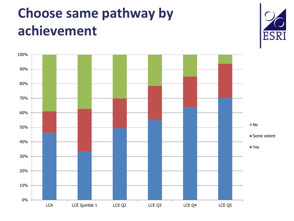# **Choose same pathway by achievement**